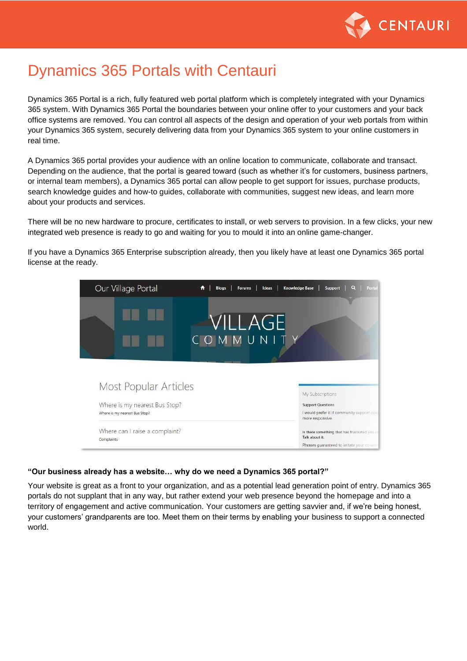

# Dynamics 365 Portals with Centauri

Dynamics 365 Portal is a rich, fully featured web portal platform which is completely integrated with your Dynamics 365 system. With Dynamics 365 Portal the boundaries between your online offer to your customers and your back office systems are removed. You can control all aspects of the design and operation of your web portals from within your Dynamics 365 system, securely delivering data from your Dynamics 365 system to your online customers in real time.

A Dynamics 365 portal provides your audience with an online location to communicate, collaborate and transact. Depending on the audience, that the portal is geared toward (such as whether it's for customers, business partners, or internal team members), a Dynamics 365 portal can allow people to get support for issues, purchase products, search knowledge guides and how-to guides, collaborate with communities, suggest new ideas, and learn more about your products and services.

There will be no new hardware to procure, certificates to install, or web servers to provision. In a few clicks, your new integrated web presence is ready to go and waiting for you to mould it into an online game-changer.

If you have a Dynamics 365 Enterprise subscription already, then you likely have at least one Dynamics 365 portal license at the ready.



#### **"Our business already has a website… why do we need a Dynamics 365 portal?"**

Your website is great as a front to your organization, and as a potential lead generation point of entry. Dynamics 365 portals do not supplant that in any way, but rather extend your web presence beyond the homepage and into a territory of engagement and active communication. Your customers are getting savvier and, if we're being honest, your customers' grandparents are too. Meet them on their terms by enabling your business to support a connected world.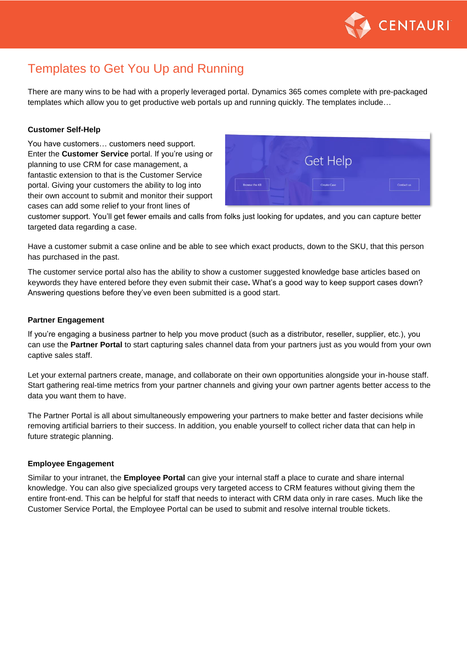

## Templates to Get You Up and Running

There are many wins to be had with a properly leveraged portal. Dynamics 365 comes complete with pre-packaged templates which allow you to get productive web portals up and running quickly. The templates include…

#### **Customer Self-Help**

You have customers… customers need support. Enter the **Customer Service** portal. If you're using or planning to use CRM for case management, a fantastic extension to that is the Customer Service portal. Giving your customers the ability to log into their own account to submit and monitor their support cases can add some relief to your front lines of



customer support. You'll get fewer emails and calls from folks just looking for updates, and you can capture better targeted data regarding a case.

Have a customer submit a case online and be able to see which exact products, down to the SKU, that this person has purchased in the past.

The customer service portal also has the ability to show a customer suggested knowledge base articles based on keywords they have entered before they even submit their case**.** What's a good way to keep support cases down? Answering questions before they've even been submitted is a good start.

#### **Partner Engagement**

If you're engaging a business partner to help you move product (such as a distributor, reseller, supplier, etc.), you can use the **Partner Portal** to start capturing sales channel data from your partners just as you would from your own captive sales staff.

Let your external partners create, manage, and collaborate on their own opportunities alongside your in-house staff. Start gathering real-time metrics from your partner channels and giving your own partner agents better access to the data you want them to have.

The Partner Portal is all about simultaneously empowering your partners to make better and faster decisions while removing artificial barriers to their success. In addition, you enable yourself to collect richer data that can help in future strategic planning.

#### **Employee Engagement**

Similar to your intranet, the **Employee Portal** can give your internal staff a place to curate and share internal knowledge. You can also give specialized groups very targeted access to CRM features without giving them the entire front-end. This can be helpful for staff that needs to interact with CRM data only in rare cases. Much like the Customer Service Portal, the Employee Portal can be used to submit and resolve internal trouble tickets.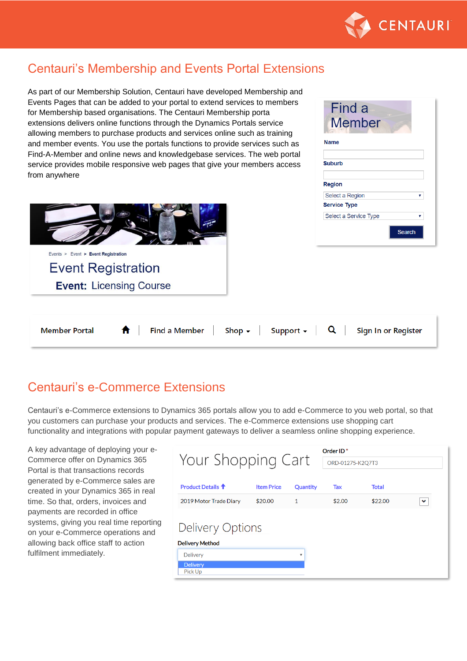

## Centauri's Membership and Events Portal Extensions

As part of our Membership Solution, Centauri have developed Membership and Events Pages that can be added to your portal to extend services to members for Membership based organisations. The Centauri Membership porta extensions delivers online functions through the Dynamics Portals service allowing members to purchase products and services online such as training and member events. You use the portals functions to provide services such as Find-A-Member and online news and knowledgebase services. The web portal service provides mobile responsive web pages that give your members access from anywhere



| Find a<br>Member      |  |
|-----------------------|--|
| Name                  |  |
| <b>Suburb</b>         |  |
| Region                |  |
| Select a Region       |  |
| <b>Service Type</b>   |  |
| Select a Service Type |  |
| <b>Search</b>         |  |

#### Shop  $\sim$ Support  $\star$  $\alpha$ Sign In or Register **Member Portal Find a Member**

### Centauri's e-Commerce Extensions

Centauri's e-Commerce extensions to Dynamics 365 portals allow you to add e-Commerce to you web portal, so that you customers can purchase your products and services. The e-Commerce extensions use shopping cart functionality and integrations with popular payment gateways to deliver a seamless online shopping experience.

A key advantage of deploying your e-Commerce offer on Dynamics 365 Portal is that transactions records generated by e-Commerce sales are created in your Dynamics 365 in real time. So that, orders, invoices and payments are recorded in office systems, giving you real time reporting on your e-Commerce operations and allowing back office staff to action fulfilment immediately.

| Order ID <sup>*</sup>                      |                   |          |                  |              |   |  |  |
|--------------------------------------------|-------------------|----------|------------------|--------------|---|--|--|
| Your Shopping Cart                         |                   |          | ORD-01275-K2Q7T3 |              |   |  |  |
| <b>Product Details <sup>个</sup></b>        | <b>Item Price</b> | Quantity | Tax              | <b>Total</b> |   |  |  |
| 2019 Motor Trade Diary                     | \$20.00           | 1        | \$2.00           | \$22.00      | ◡ |  |  |
| Delivery Options<br><b>Delivery Method</b> |                   |          |                  |              |   |  |  |
| <b>Delivery</b>                            |                   | v        |                  |              |   |  |  |
| <b>Delivery</b><br>Pick Up                 |                   |          |                  |              |   |  |  |